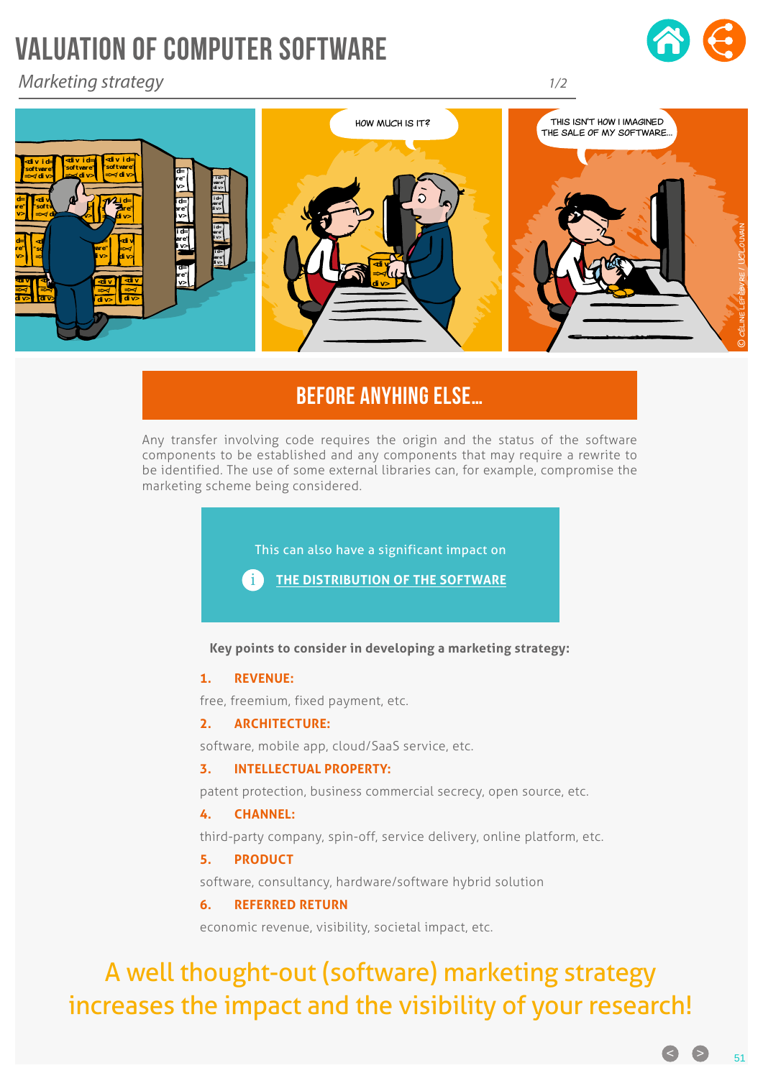# VALUATION OF COMPUTER SOFTWARE

*Marketing strategy*





### BEFORE ANYHING ELSE…

**<div id= "software"** components to be established and any components that may require a rewrite to be identified. The use of some external libraries can, for example, compromise the **Example 2018 Channel 2018 Channel 2018 Channel 2018 Channel Channel Channel Channel Channel Channel Channel Channel Channel Channel Channel Channel Channel Channel Channel Channel C** Any transfer involving code requires the origin and the status of the software

**div>** 

*1/2*

This can also have a significant impact on

**=></ div>**  i **THE DISTRIBUTION OF THE SOFTWARE**

**"software"**

*<u>div id=</u>* 

**Key points to consider in developing a marketing strategy:**

### **1. REVENUE:**

*<u>d</u>* **"software" =></div>** 

*<u>dividends the second control</u>* 

*<u>dividends</u>* 

*<u>dividends</u>* 

free, freemium, fixed payment, etc.

### **2. ARCHITECTURE:**

software, mobile app, cloud/SaaS service, etc.

### **3. INTELLECTUAL PROPERTY:**

patent protection, business commercial secrecy, open source, etc.

### **4. CHANNEL:**

third-party company, spin-off, service delivery, online platform, etc.

### **5. PRODUCT**

software, consultancy, hardware/software hybrid solution

### **6. REFERRED RETURN**

economic revenue, visibility, societal impact, etc.

## A well thought-out (software) marketing strategy increases the impact and the visibility of your research!

 $\bullet$  51